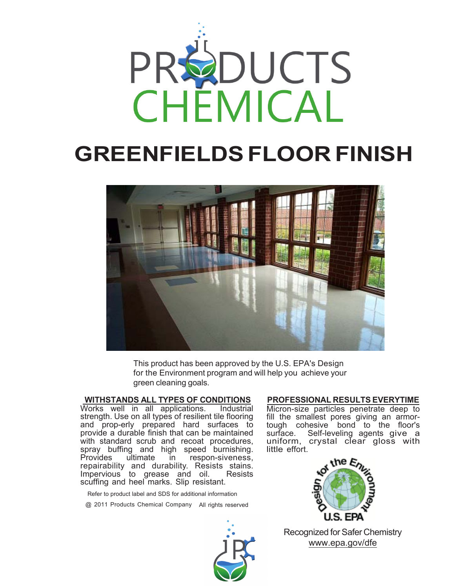

# **GREENFIELDS FLOOR FINISH**



This product has been approved by the U.S. EPA's Design for the Environment program and will help you achieve your green cleaning goals.

## **WITHSTANDS ALL TYPES OF CONDITIONS**

Works well in all applications. strength. Use on all types of resilient tile flooring and prop-erly prepared hard surfaces to provide a durable finish that can be maintained with standard scrub and recoat procedures, spray buffing and high speed burnishing. Provides ultimate in respon-siveness, repairability and durability. Resists stains. Impervious to grease and oil. Resists scuffing and heel marks. Slip resistant.

Refer to product label and SDS for additional information

@ 2011 Products Chemical Company All rights reserved



#### **PROFESSIONAL RESULTS EVERYTIME**

Micron-size particles penetrate deep to fill the smallest pores giving an armortough cohesive bond to the floor's<br>surface. Self-leveling agents give a Self-leveling agents give a uniform, crystal clear gloss with little effort.



Recognized for Safer Chemistry www.epa.gov/dfe